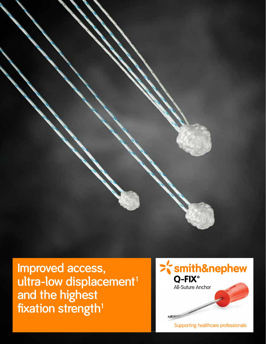

**Improved access,**  ultra-low displacement<sup>1</sup> **and the highest fixation strength<sup>1</sup>**



Supporting healthcare professionals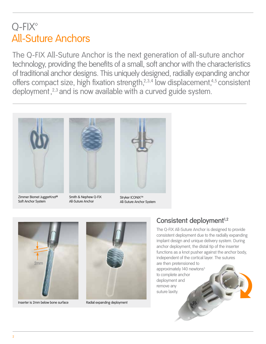### $O-FIX<sup>°</sup>$ All-Suture Anchors

The Q-FIX All-Suture Anchor is the next generation of all-suture anchor technology, providing the benefits of a small, soft anchor with the characteristics of traditional anchor designs. This uniquely designed, radially expanding anchor offers compact size, high fixation strength,<sup>2,3,4</sup> low displacement,<sup>4,5</sup> consistent deployment,<sup>2,3</sup> and is now available with a curved guide system.



Zimmer Biomet JuggerKnot® Soft Anchor System



Smith & Nephew Q-FIX All-Suture Anchor



Strvker ICONIX<sup>™</sup> All-Suture Anchor System



Inserter is 2mm below bone surface



Radial expanding deployment

### Consistent deployment<sup>1,2</sup>

The Q-FIX All-Suture Anchor is designed to provide consistent deployment due to the radially expanding implant design and unique delivery system. During anchor deployment, the distal tip of the inserter functions as a knot pusher against the anchor body, independent of the cortical layer. The sutures are then pretensioned to

approximately 140 newtons<sup>5</sup> to complete anchor deployment and remove any suture laxity.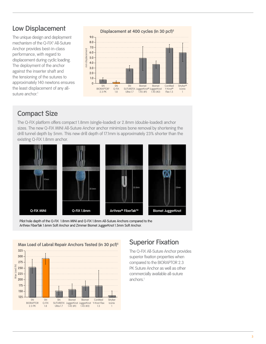#### **Low Displacement**

The unique design and deployment mechanism of the Q-FIX<sup>®</sup> All-Suture Anchor provides best-in-class performance, with regard to displacement during cyclic loading. The deployment of the anchor against the inserter shaft and the tensioning of the sutures to approximately 140 newtons ensures the least displacement of any allsuture anchor.<sup>1</sup>



#### **Compact Size**

The Q-FIX platform offers compact 1.8mm (single-loaded) or 2.8mm (double-loaded) anchor sizes. The new Q-FIX MINI All-Suture Anchor anchor minimizes bone removal by shortening the drill tunnel depth by 5mm. This new drill depth of 17.1mm is approximately 23% shorter than the existing Q-FIX 1.8mm anchor.



Pilot hole depth of the Q-FIX 1.8mm MINI and Q-FIX 1.8mm All-Suture Anchors compared to the Arthrex FiberTak 1.6mm Soft Anchor and Zimmer Biomet JuggerKnot 1.5mm Soft Anchor.



The Q-FIX All-Suture Anchor provides superior fixation properties when compared to the BIORAPTOR 2.3 PK Suture Anchor as well as other commercially available all-suture anchors.<sup>1</sup>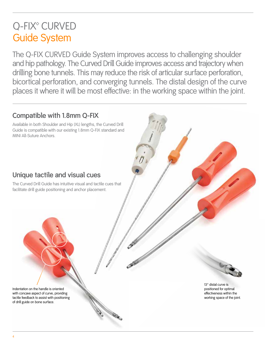### Q-FIX<sup>®</sup> CURVED Guide System

The Q-FIX CURVED Guide System improves access to challenging shoulder and hip pathology. The Curved Drill Guide improves access and trajectory when drilling bone tunnels. This may reduce the risk of articular surface perforation, bicortical perforation, and converging tunnels. The distal design of the curve places it where it will be most effective: in the working space within the joint.

#### **Compatible with 1.8mm Q-FIX**

Available in both Shoulder and Hip (XL) lengths, the Curved Drill Guide is compatible with our existing 1.8mm Q-FIX standard and MINI All-Suture Anchors.

### **Unique tactile and visual cues**

The Curved Drill Guide has intuitive visual and tactile cues that facilitate drill guide positioning and anchor placement.

13° distal curve is positioned for optimal effectiveness within the working space of the joint.

Indentation on the handle is oriented with concave aspect of curve, providing tactile feedback to assist with positioning of drill guide on bone surface.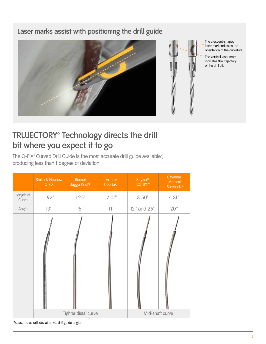#### **Laser marks assist with positioning the drill guide**



### TRUJECTORY<sup>®</sup> Technology directs the drill **bit where you expect it to go**

The Q-FIX<sup>®</sup> Curved Drill Guide is the most accurate drill guide available\*, producing less than 1 degree of deviation.

|                    | Smith & Nephew<br>$Q-FIX$ | <b>Biomet</b><br>JuggerKnot <sup>®</sup> | Arthrex<br>FiberTak™ | <b>Stryker®</b><br><b>ICONIX<sup>TM</sup></b> | Cayenne<br>Medical<br>SureLock <sup>TM</sup> |
|--------------------|---------------------------|------------------------------------------|----------------------|-----------------------------------------------|----------------------------------------------|
| Length of<br>Curve | 1.92"                     | 1.25"                                    | 2.01"                | 3.50"                                         | 4.31"                                        |
| Angle              | 13°                       | $15^{\circ}$                             | $11^{\circ}$         | $12^{\circ}$ and $25^{\circ}$                 | $20^{\circ}$                                 |
|                    |                           |                                          |                      |                                               |                                              |
|                    | Tighter distal curve      |                                          |                      | Mid-shaft curve                               |                                              |

\*Measured as drill deviation vs. drill guide angle.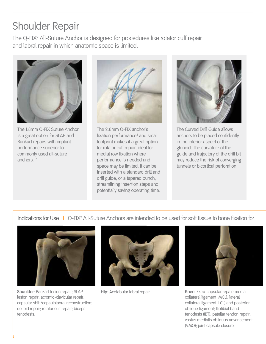# Shoulder Repair

The Q-FIX<sup>®</sup> All-Suture Anchor is designed for procedures like rotator cuff repair and labral repair in which anatomic space is limited.



The 1.8mm Q-FIX Suture Anchor is a great option for SLAP and Bankart repairs with implant performance superior to commonly used all-suture anchors.1,4



The 2.8mm Q-FIX anchor's fixation performance<sup>2</sup> and small footprint makes it a great option for rotator cuff repair, ideal for medial row fixation where performance is needed and space may be limited. It can be inserted with a standard drill and drill guide, or a tapered punch, streamlining insertion steps and potentially saving operating time.



The Curved Drill Guide allows anchors to be placed confidently in the inferior aspect of the glenoid. The curvature of the guide and trajectory of the drill bit may reduce the risk of converging tunnels or bicortical perforation.

Indications for Use I Q-FIX° All-Suture Anchors are intended to be used for soft tissue to bone fixation for:



**Shoulder**: Bankart lesion repair; SLAP lesion repair; acromio-clavicular repair; capsular shift/capsulolabral reconstruction; deltoid repair; rotator cuff repair; biceps tenodesis.





**Hip**: Acetabular labral repair. **Knee**: Extra-capsular repair: medial collateral ligament (MCL), lateral collateral ligament (LCL) and posterior oblique ligament; Iliotibial band tenodesis (IBT); patellar tendon repair; vastus medialis obliquus advancement (VMO); joint capsule closure.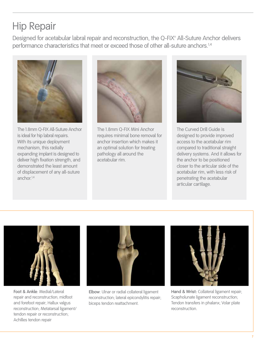# Hip Repair

Designed for acetabular labral repair and reconstruction, the Q-FIX<sup>®</sup> All-Suture Anchor delivers performance characteristics that meet or exceed those of other all-suture anchors.<sup>1,4</sup>



The 1.8mm Q-FIX All-Suture Anchor is ideal for hip labral repairs. With its unique deployment mechanism, this radially expanding implant is designed to deliver high fixation strength, and demonstrated the least amount of displacement of any all-suture anchor $1,4$ 



The 1.8mm Q-FIX Mini Anchor requires minimal bone removal for anchor insertion which makes it an optimal solution for treating pathology all around the acetabular rim.



The Curved Drill Guide is designed to provide improved access to the acetabular rim compared to traditional straight delivery systems. And it allows for the anchor to be positioned closer to the articular side of the acetabular rim, with less risk of penetrating the acetabular articular cartilage.



**Foot & Ankle**: Medial/Lateral repair and reconstruction; midfoot and forefoot repair; Hallux valgus reconstruction; Metatarsal ligament/ tendon repair or reconstruction; Achilles tendon repair



**Elbow**: Ulnar or radial collateral ligament reconstruction; lateral epicondylitis repair; biceps tendon reattachment.



**Hand & Wrist:** Collateral ligament repair; Scapholunate ligament reconstruction; Tendon transfers in phalanx; Volar plate reconstruction.